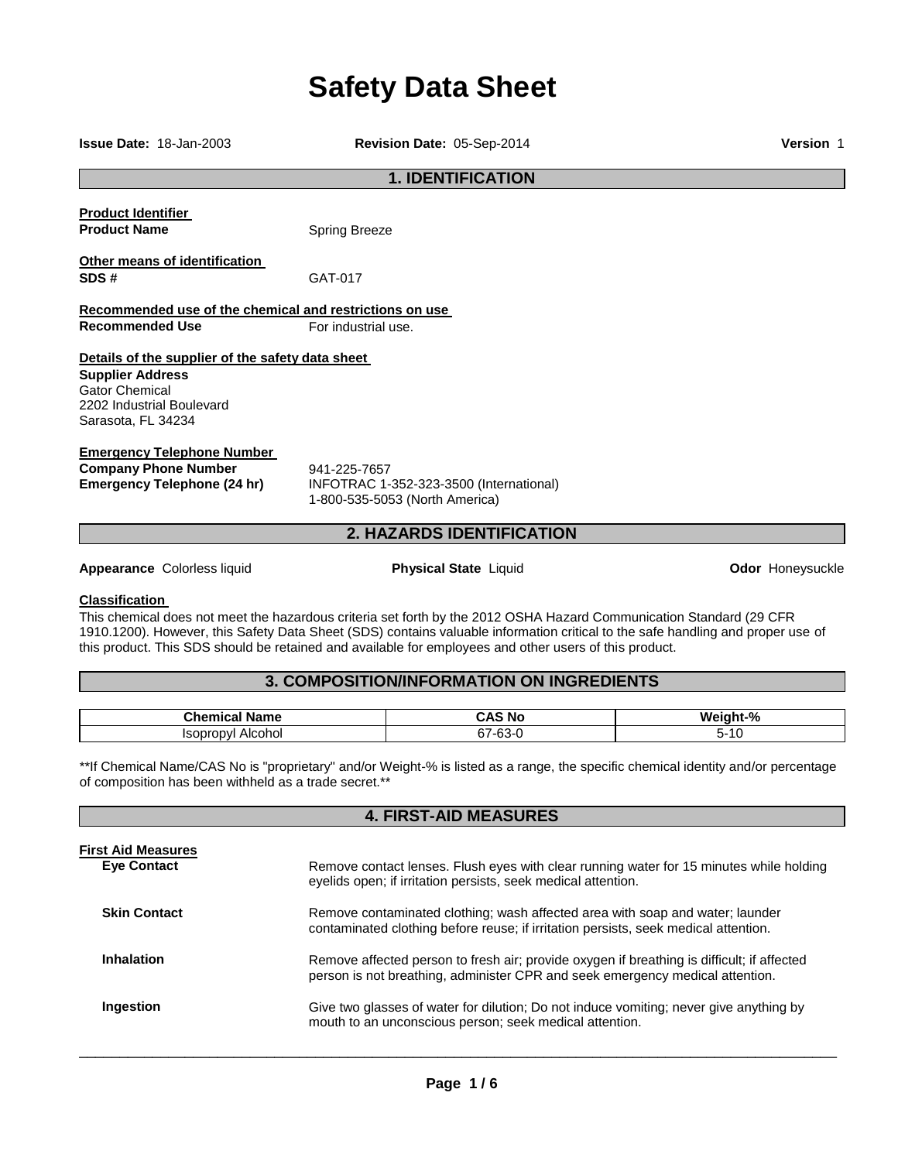# **Safety Data Sheet**

**1. IDENTIFICATION Product Identifier Product Name Spring Breeze Other means of identification SDS #** GAT-017 **Recommended use of the chemical and restrictions on use Recommended Use For industrial use Details of the supplier of the safety data sheet Supplier Address** Gator Chemical 2202 Industrial Boulevard Sarasota, FL 34234 **Emergency Telephone Number Company Phone Number** 941-225-7657<br>**Emergency Telephone (24 hr)** INFOTRAC 1-**Emergency Telephone (24 hr)** INFOTRAC 1-352-323-3500 (International) 1-800-535-5053 (North America) **2. HAZARDS IDENTIFICATION Appearance Colorless liquid example 2 and 2 appearance Colorless liquid <b>Physical State** Liquid **Odor Honeysuckle** 

## **Classification**

This chemical does not meet the hazardous criteria set forth by the 2012 OSHA Hazard Communication Standard (29 CFR 1910.1200). However, this Safety Data Sheet (SDS) contains valuable information critical to the safe handling and proper use of this product. This SDS should be retained and available for employees and other users of this product.

# **3. COMPOSITION/INFORMATION ON INGREDIENTS**

| Chemical<br>Name                    | . .<br>-<br>∼ ∧<br>N0                             | n.<br>w<br>INT-`<br>70 |
|-------------------------------------|---------------------------------------------------|------------------------|
| $    -$<br>Alcohol<br>I۹<br>n<br>ענ | $\sim$<br>$\sim$<br>$-1$<br><u>ъ.</u><br>ิบบ<br>ີ | . .<br>י               |

\*\*If Chemical Name/CAS No is "proprietary" and/or Weight-% is listed as a range, the specific chemical identity and/or percentage of composition has been withheld as a trade secret.\*\*

**4. FIRST-AID MEASURES** 

| <b>First Aid Measures</b><br><b>Eve Contact</b> | Remove contact lenses. Flush eyes with clear running water for 15 minutes while holding<br>eyelids open; if irritation persists, seek medical attention.                    |
|-------------------------------------------------|-----------------------------------------------------------------------------------------------------------------------------------------------------------------------------|
| <b>Skin Contact</b>                             | Remove contaminated clothing; wash affected area with soap and water; launder<br>contaminated clothing before reuse; if irritation persists, seek medical attention.        |
| <b>Inhalation</b>                               | Remove affected person to fresh air; provide oxygen if breathing is difficult; if affected<br>person is not breathing, administer CPR and seek emergency medical attention. |
| Ingestion                                       | Give two glasses of water for dilution; Do not induce vomiting; never give anything by<br>mouth to an unconscious person; seek medical attention.                           |

\_\_\_\_\_\_\_\_\_\_\_\_\_\_\_\_\_\_\_\_\_\_\_\_\_\_\_\_\_\_\_\_\_\_\_\_\_\_\_\_\_\_\_\_\_\_\_\_\_\_\_\_\_\_\_\_\_\_\_\_\_\_\_\_\_\_\_\_\_\_\_\_\_\_\_\_\_\_\_\_\_\_\_\_\_\_\_\_\_\_\_\_\_

**Issue Date:** 18-Jan-2003 **Revision Date:** 05-Sep-2014 **Version** 1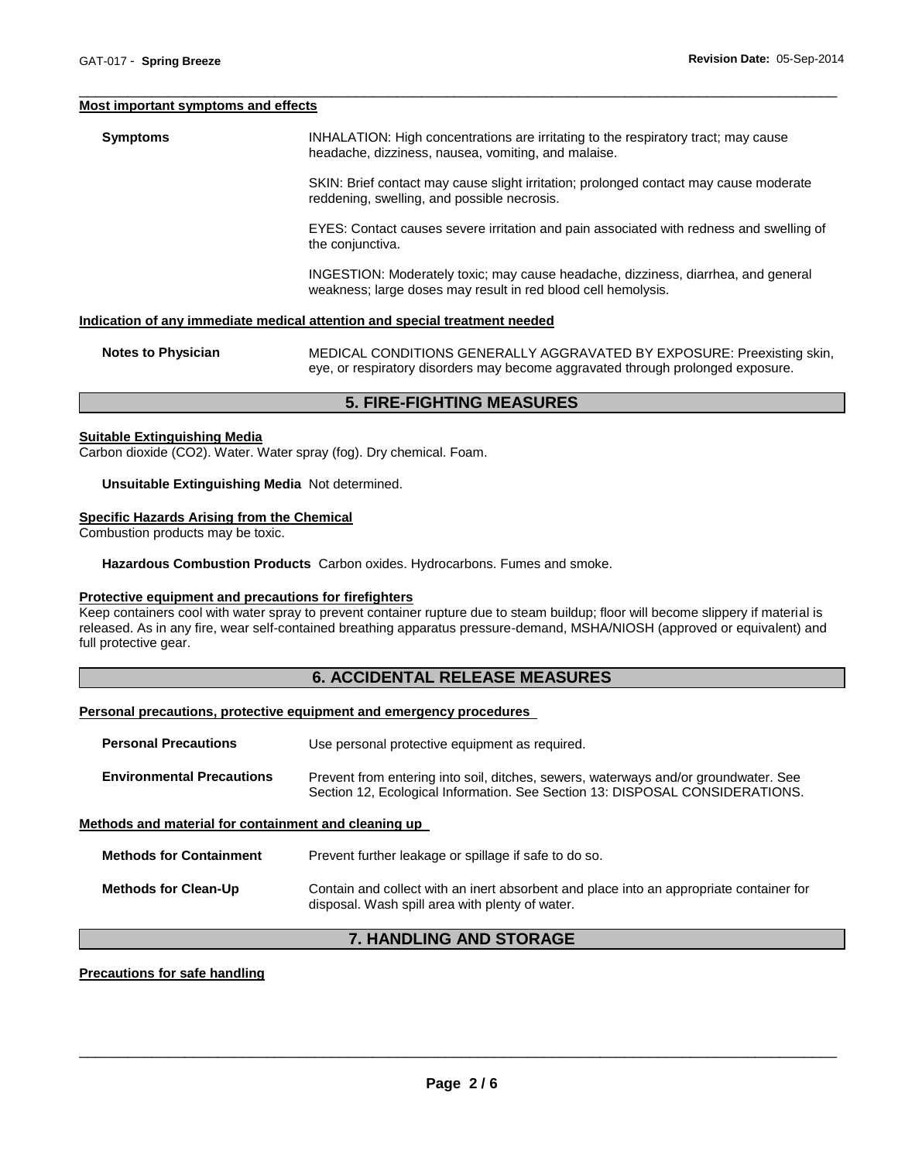#### **Most important symptoms and effects**

**Symptoms INHALATION: High concentrations are irritating to the respiratory tract; may cause** headache, dizziness, nausea, vomiting, and malaise.

\_\_\_\_\_\_\_\_\_\_\_\_\_\_\_\_\_\_\_\_\_\_\_\_\_\_\_\_\_\_\_\_\_\_\_\_\_\_\_\_\_\_\_\_\_\_\_\_\_\_\_\_\_\_\_\_\_\_\_\_\_\_\_\_\_\_\_\_\_\_\_\_\_\_\_\_\_\_\_\_\_\_\_\_\_\_\_\_\_\_\_\_\_

SKIN: Brief contact may cause slight irritation; prolonged contact may cause moderate reddening, swelling, and possible necrosis.

EYES: Contact causes severe irritation and pain associated with redness and swelling of the conjunctiva.

INGESTION: Moderately toxic; may cause headache, dizziness, diarrhea, and general weakness; large doses may result in red blood cell hemolysis.

#### **Indication of any immediate medical attention and special treatment needed**

**Notes to Physician** MEDICAL CONDITIONS GENERALLY AGGRAVATED BY EXPOSURE: Preexisting skin, eye, or respiratory disorders may become aggravated through prolonged exposure.

# **5. FIRE-FIGHTING MEASURES**

#### **Suitable Extinguishing Media**

Carbon dioxide (CO2). Water. Water spray (fog). Dry chemical. Foam.

## **Unsuitable Extinguishing Media** Not determined.

#### **Specific Hazards Arising from the Chemical**

Combustion products may be toxic.

**Hazardous Combustion Products** Carbon oxides. Hydrocarbons. Fumes and smoke.

#### **Protective equipment and precautions for firefighters**

Keep containers cool with water spray to prevent container rupture due to steam buildup; floor will become slippery if material is released. As in any fire, wear self-contained breathing apparatus pressure-demand, MSHA/NIOSH (approved or equivalent) and full protective gear.

# **6. ACCIDENTAL RELEASE MEASURES**

#### **Personal precautions, protective equipment and emergency procedures**

| <b>Personal Precautions</b>                          | Use personal protective equipment as required.                                                                                                                      |  |  |
|------------------------------------------------------|---------------------------------------------------------------------------------------------------------------------------------------------------------------------|--|--|
| <b>Environmental Precautions</b>                     | Prevent from entering into soil, ditches, sewers, waterways and/or groundwater. See<br>Section 12, Ecological Information. See Section 13: DISPOSAL CONSIDERATIONS. |  |  |
| Methods and material for containment and cleaning up |                                                                                                                                                                     |  |  |
| <b>Methods for Containment</b>                       | Prevent further leakage or spillage if safe to do so.                                                                                                               |  |  |
| <b>Methods for Clean-Up</b>                          | Contain and collect with an inert absorbent and place into an appropriate container for<br>disposal. Wash spill area with plenty of water.                          |  |  |

# **7. HANDLING AND STORAGE**

#### **Precautions for safe handling**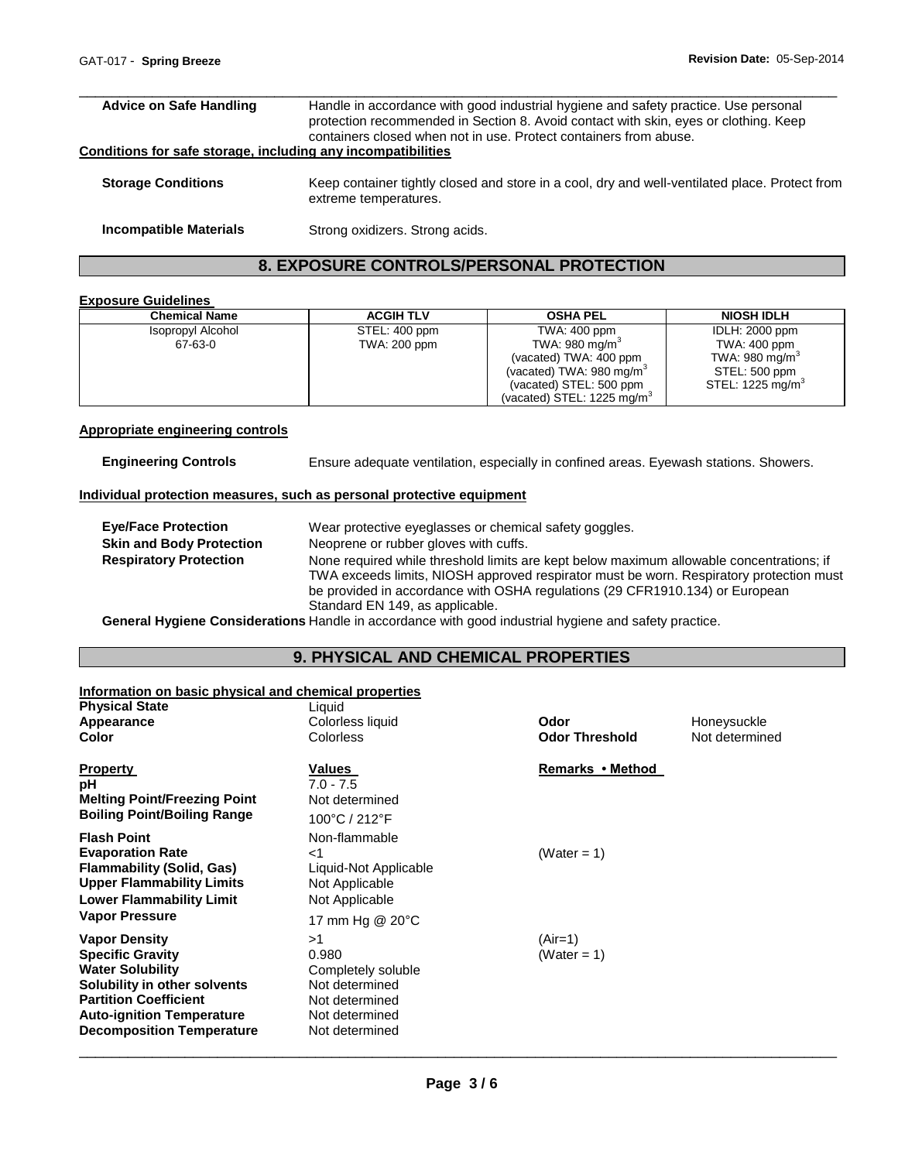| <b>Advice on Safe Handling</b>                               | Handle in accordance with good industrial hygiene and safety practice. Use personal<br>protection recommended in Section 8. Avoid contact with skin, eyes or clothing. Keep<br>containers closed when not in use. Protect containers from abuse. |
|--------------------------------------------------------------|--------------------------------------------------------------------------------------------------------------------------------------------------------------------------------------------------------------------------------------------------|
| Conditions for safe storage, including any incompatibilities |                                                                                                                                                                                                                                                  |
| <b>Storage Conditions</b>                                    | Keep container tightly closed and store in a cool, dry and well-ventilated place. Protect from<br>extreme temperatures.                                                                                                                          |
| <b>Incompatible Materials</b>                                | Strong oxidizers. Strong acids.                                                                                                                                                                                                                  |

# **8. EXPOSURE CONTROLS/PERSONAL PROTECTION**

# **Exposure Guidelines**

| <b>Chemical Name</b>         | <b>ACGIH TLV</b>              | <b>OSHA PEL</b>                                                                                             | <b>NIOSH IDLH</b>                                                                    |
|------------------------------|-------------------------------|-------------------------------------------------------------------------------------------------------------|--------------------------------------------------------------------------------------|
| Isopropyl Alcohol<br>67-63-0 | STEL: 400 ppm<br>TWA: 200 ppm | TWA: 400 ppm<br>TWA: 980 mg/m <sup>3</sup><br>(vacated) TWA: 400 ppm<br>(vacated) TWA: $980 \text{ mg/m}^3$ | <b>IDLH: 2000 ppm</b><br>TWA: 400 ppm<br>TWA: 980 mg/m <sup>3</sup><br>STEL: 500 ppm |
|                              |                               | (vacated) STEL: 500 ppm<br>(vacated) STEL: $1225 \text{ mg/m}^3$                                            | STEL: 1225 mg/m <sup>3</sup>                                                         |

# **Appropriate engineering controls**

**Engineering Controls** Ensure adequate ventilation, especially in confined areas. Eyewash stations. Showers.

# **Individual protection measures, such as personal protective equipment**

| <b>Eve/Face Protection</b>      | Wear protective eyeglasses or chemical safety goggles.                                                                                                                                                                                                              |
|---------------------------------|---------------------------------------------------------------------------------------------------------------------------------------------------------------------------------------------------------------------------------------------------------------------|
| <b>Skin and Body Protection</b> | Neoprene or rubber gloves with cuffs.                                                                                                                                                                                                                               |
| <b>Respiratory Protection</b>   | None required while threshold limits are kept below maximum allowable concentrations; if<br>TWA exceeds limits, NIOSH approved respirator must be worn. Respiratory protection must<br>be provided in accordance with OSHA regulations (29 CFR1910.134) or European |
|                                 | Standard EN 149, as applicable.                                                                                                                                                                                                                                     |

**General Hygiene Considerations** Handle in accordance with good industrial hygiene and safety practice.

# **9. PHYSICAL AND CHEMICAL PROPERTIES**

## **Information on basic physical and chemical properties**

| <b>Physical State</b>                                                                                                                                                                                       | Liquid                                                                                                    |                        |                |
|-------------------------------------------------------------------------------------------------------------------------------------------------------------------------------------------------------------|-----------------------------------------------------------------------------------------------------------|------------------------|----------------|
| Appearance                                                                                                                                                                                                  | Colorless liquid                                                                                          | Odor                   | Honeysuckle    |
| Color                                                                                                                                                                                                       | Colorless                                                                                                 | <b>Odor Threshold</b>  | Not determined |
| Property<br>pН<br><b>Melting Point/Freezing Point</b><br><b>Boiling Point/Boiling Range</b>                                                                                                                 | Values<br>$7.0 - 7.5$<br>Not determined<br>100°C / 212°F                                                  | Remarks • Method       |                |
| <b>Flash Point</b><br><b>Evaporation Rate</b><br>Flammability (Solid, Gas)<br><b>Upper Flammability Limits</b><br><b>Lower Flammability Limit</b>                                                           | Non-flammable<br>ا><br>Liquid-Not Applicable<br>Not Applicable<br>Not Applicable                          | (Water = $1$ )         |                |
| Vapor Pressure                                                                                                                                                                                              | 17 mm Hg @ 20°C                                                                                           |                        |                |
| Vapor Density<br><b>Specific Gravity</b><br><b>Water Solubility</b><br>Solubility in other solvents<br><b>Partition Coefficient</b><br><b>Auto-ignition Temperature</b><br><b>Decomposition Temperature</b> | >1<br>0.980<br>Completely soluble<br>Not determined<br>Not determined<br>Not determined<br>Not determined | (Air=1)<br>(Water = 1) |                |
|                                                                                                                                                                                                             |                                                                                                           |                        |                |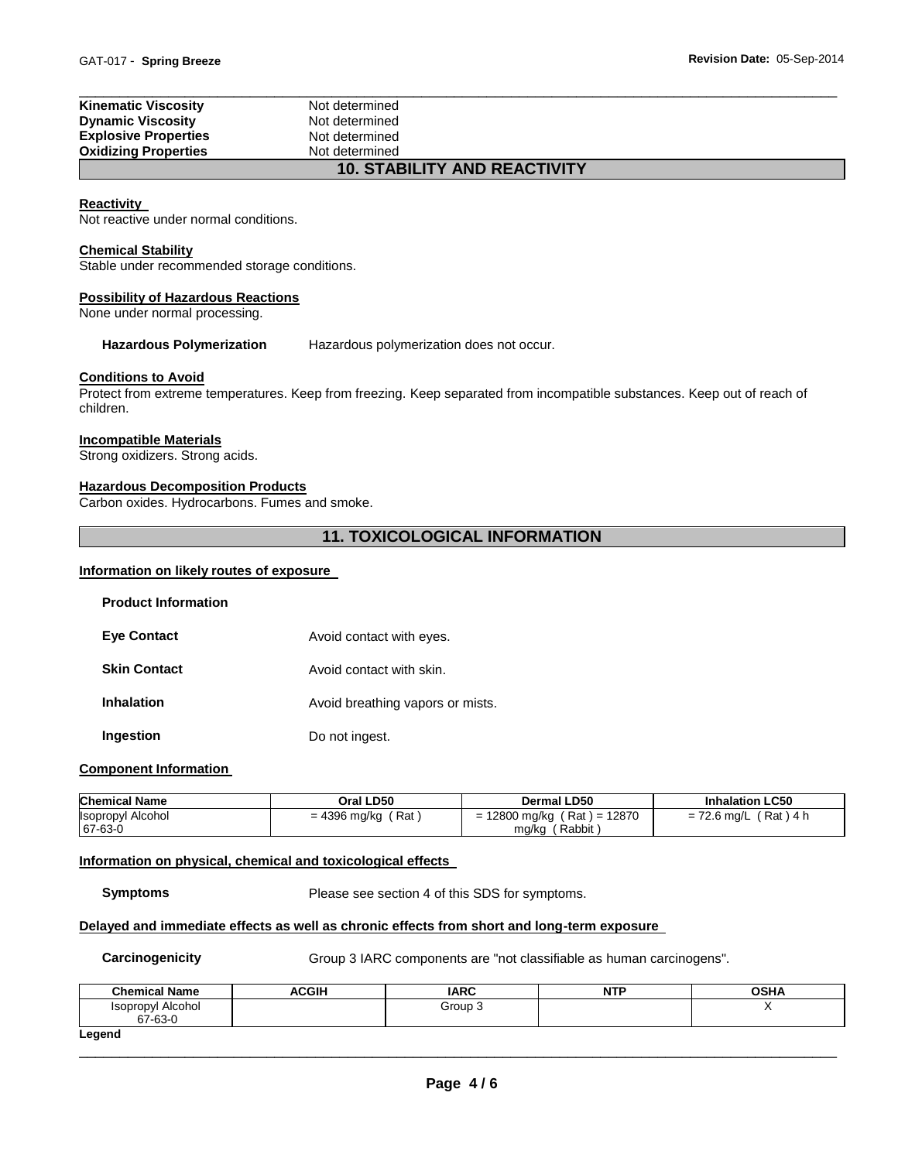| <b>Kinematic Viscosity</b>  | Not determined                     |  |
|-----------------------------|------------------------------------|--|
| <b>Dynamic Viscosity</b>    | Not determined                     |  |
| <b>Explosive Properties</b> | Not determined                     |  |
| <b>Oxidizing Properties</b> | Not determined                     |  |
|                             | <b>10 CTADILITY AND DEACTIVITY</b> |  |

# **10. STABILITY AND REACTIVITY**

# **Reactivity**

Not reactive under normal conditions.

#### **Chemical Stability**

Stable under recommended storage conditions.

## **Possibility of Hazardous Reactions**

None under normal processing.

**Hazardous Polymerization** Hazardous polymerization does not occur.

#### **Conditions to Avoid**

Protect from extreme temperatures. Keep from freezing. Keep separated from incompatible substances. Keep out of reach of children.

#### **Incompatible Materials**

Strong oxidizers. Strong acids.

#### **Hazardous Decomposition Products**

Carbon oxides. Hydrocarbons. Fumes and smoke.

# **11. TOXICOLOGICAL INFORMATION**

#### **Information on likely routes of exposure**

| <b>Product Information</b> |                                  |
|----------------------------|----------------------------------|
| <b>Eve Contact</b>         | Avoid contact with eyes.         |
| <b>Skin Contact</b>        | Avoid contact with skin.         |
| <b>Inhalation</b>          | Avoid breathing vapors or mists. |
| Ingestion                  | Do not ingest.                   |

# **Component Information**

| <b>Chemical Name</b>     | Oral LD50           | <b>Dermal LD50</b>                    | <b>Inhalation LC50</b>      |
|--------------------------|---------------------|---------------------------------------|-----------------------------|
| <b>Isopropyl Alcohol</b> | Rat<br>= 4396 mg/kg | ( Rat ) = 12870<br>. 12800 mg/kg<br>- | 'Rat ) 4 h<br>$= 72.6$ mg/L |
| $67-63-0$                |                     | ´ Rabbit .<br>mg/kg                   |                             |

#### **Information on physical, chemical and toxicological effects**

**Symptoms** Please see section 4 of this SDS for symptoms.

## **Delayed and immediate effects as well as chronic effects from short and long-term exposure**

**Carcinogenicity Group 3 IARC components are "not classifiable as human carcinogens".** 

| <b>Chemical Name</b>                | ACGIH | <b>IARC</b> | <b>NTP</b> | <b>OSHA</b> |
|-------------------------------------|-------|-------------|------------|-------------|
| <b>Isopropyl Alcohol</b><br>67-63-0 |       | Group 3     |            |             |
| Legend                              |       |             |            |             |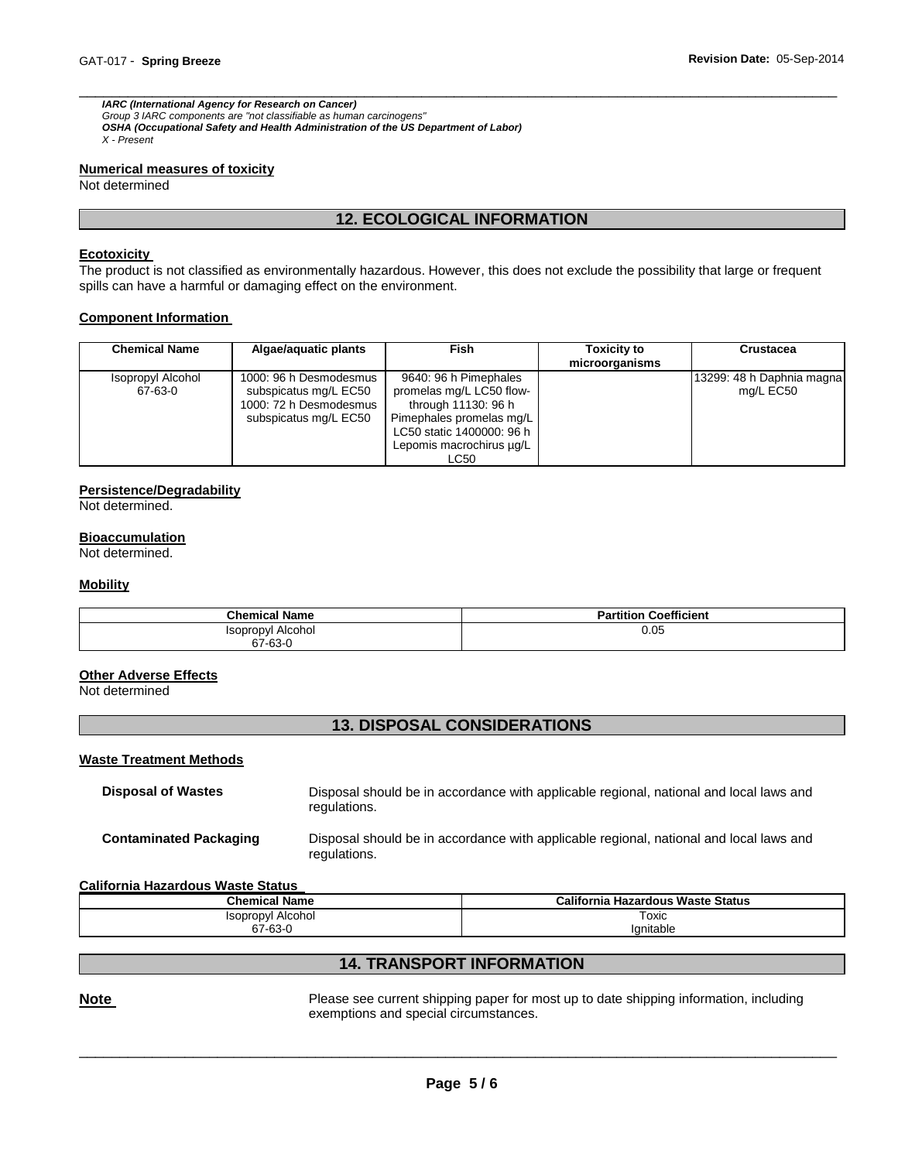*IARC (International Agency for Research on Cancer) Group 3 IARC components are "not classifiable as human carcinogens" OSHA (Occupational Safety and Health Administration of the US Department of Labor) X - Present* 

#### **Numerical measures of toxicity**

Not determined

# **12. ECOLOGICAL INFORMATION**

\_\_\_\_\_\_\_\_\_\_\_\_\_\_\_\_\_\_\_\_\_\_\_\_\_\_\_\_\_\_\_\_\_\_\_\_\_\_\_\_\_\_\_\_\_\_\_\_\_\_\_\_\_\_\_\_\_\_\_\_\_\_\_\_\_\_\_\_\_\_\_\_\_\_\_\_\_\_\_\_\_\_\_\_\_\_\_\_\_\_\_\_\_

#### **Ecotoxicity**

The product is not classified as environmentally hazardous. However, this does not exclude the possibility that large or frequent spills can have a harmful or damaging effect on the environment.

#### **Component Information**

| <b>Chemical Name</b>         | Algae/aguatic plants                                                                               | <b>Fish</b>                                                                                                                                                           | <b>Toxicity to</b><br>microorganisms | Crustacea                              |
|------------------------------|----------------------------------------------------------------------------------------------------|-----------------------------------------------------------------------------------------------------------------------------------------------------------------------|--------------------------------------|----------------------------------------|
| Isopropyl Alcohol<br>67-63-0 | 1000: 96 h Desmodesmus<br>subspicatus mg/L EC50<br>1000: 72 h Desmodesmus<br>subspicatus mg/L EC50 | 9640: 96 h Pimephales<br>promelas mg/L LC50 flow-<br>through 11130: 96 h<br>Pimephales promelas mg/L<br>LC50 static 1400000: 96 h<br>Lepomis macrochirus ug/L<br>LC50 |                                      | 13299: 48 h Daphnia magna<br>mg/L EC50 |

#### **Persistence/Degradability**

Not determined.

#### **Bioaccumulation**

Not determined.

#### **Mobility**

| <b>Chemical Name</b> | <b>Partition Coefficient</b> |
|----------------------|------------------------------|
| Isopropyl Alcohol    | 0.05                         |
| 67-63-0              |                              |

#### **Other Adverse Effects**

Not determined

# **13. DISPOSAL CONSIDERATIONS**

## **Waste Treatment Methods**

| Disposal of Wastes     | Disposal should be in accordance with applicable regional, national and local laws and<br>regulations. |
|------------------------|--------------------------------------------------------------------------------------------------------|
| Contaminated Packaging | Disposal should be in accordance with applicable regional, national and local laws and<br>regulations. |

#### **California Hazardous Waste Status**

| <b>Chemical Name</b> | California Hazardous Waste Status |  |
|----------------------|-----------------------------------|--|
| Isopropyl Alcohol    | Гохіс                             |  |
| 67-63-0              | lanitable                         |  |

# **14. TRANSPORT INFORMATION**

**Note Note Please see current shipping paper for most up to date shipping information, including** exemptions and special circumstances.